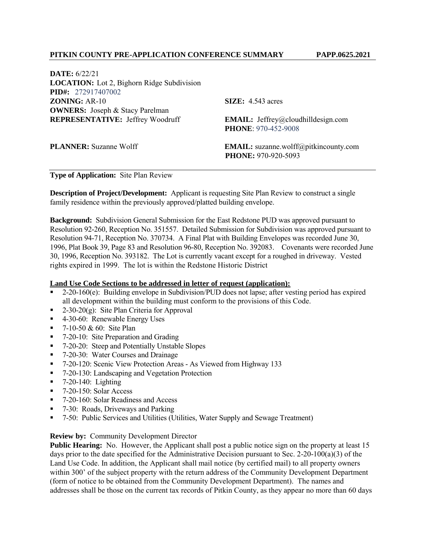**DATE:** 6/22/21 **LOCATION:** Lot 2, Bighorn Ridge Subdivision **PID#:** 272917407002 **ZONING:** AR-10 **SIZE:** 4.543 acres **OWNERS:** Joseph & Stacy Parelman **REPRESENTATIVE:** Jeffrey Woodruff **EMAIL:** Jeffrey@cloudhilldesign.com

 **PHONE**: 970-452-9008

**PLANNER:** Suzanne Wolff **EMAIL:** suzanne.wolff@pitkincounty.com  **PHONE:** 970-920-5093

### **Type of Application:** Site Plan Review

**Description of Project/Development:** Applicant is requesting Site Plan Review to construct a single family residence within the previously approved/platted building envelope.

**Background:** Subdivision General Submission for the East Redstone PUD was approved pursuant to Resolution 92-260, Reception No. 351557. Detailed Submission for Subdivision was approved pursuant to Resolution 94-71, Reception No. 370734. A Final Plat with Building Envelopes was recorded June 30, 1996, Plat Book 39, Page 83 and Resolution 96-80, Reception No. 392083. Covenants were recorded June 30, 1996, Reception No. 393182. The Lot is currently vacant except for a roughed in driveway. Vested rights expired in 1999. The lot is within the Redstone Historic District

#### **Land Use Code Sections to be addressed in letter of request (application):**

- 2-20-160(e): Building envelope in Subdivision/PUD does not lapse; after vesting period has expired all development within the building must conform to the provisions of this Code.
- 2-30-20 $(g)$ : Site Plan Criteria for Approval
- 4-30-60: Renewable Energy Uses
- $-7-10-50 & 60$ : Site Plan
- 7-20-10: Site Preparation and Grading
- 7-20-20: Steep and Potentially Unstable Slopes
- 7-20-30: Water Courses and Drainage
- 7-20-120: Scenic View Protection Areas As Viewed from Highway 133
- 7-20-130: Landscaping and Vegetation Protection
- $-7-20-140$ : Lighting
- $\blacksquare$  7-20-150: Solar Access
- 7-20-160: Solar Readiness and Access
- 7-30: Roads, Driveways and Parking
- 7-50: Public Services and Utilities (Utilities, Water Supply and Sewage Treatment)

# **Review by:** Community Development Director

**Public Hearing:** No. However, the Applicant shall post a public notice sign on the property at least 15 days prior to the date specified for the Administrative Decision pursuant to Sec. 2-20-100(a)(3) of the Land Use Code. In addition, the Applicant shall mail notice (by certified mail) to all property owners within 300' of the subject property with the return address of the Community Development Department (form of notice to be obtained from the Community Development Department). The names and addresses shall be those on the current tax records of Pitkin County, as they appear no more than 60 days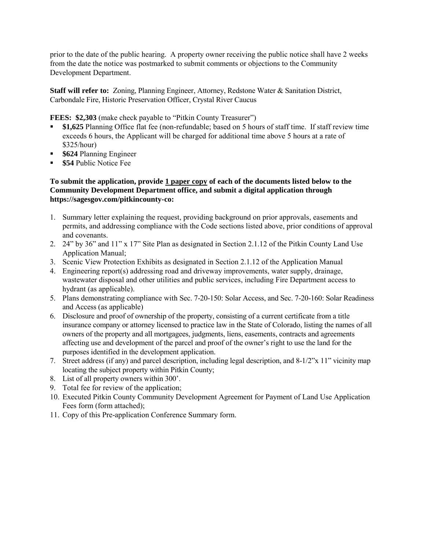prior to the date of the public hearing. A property owner receiving the public notice shall have 2 weeks from the date the notice was postmarked to submit comments or objections to the Community Development Department.

**Staff will refer to:** Zoning, Planning Engineer, Attorney, Redstone Water & Sanitation District, Carbondale Fire, Historic Preservation Officer, Crystal River Caucus

**FEES: \$2,303** (make check payable to "Pitkin County Treasurer")

- **\$1,625** Planning Office flat fee (non-refundable; based on 5 hours of staff time. If staff review time exceeds 6 hours, the Applicant will be charged for additional time above 5 hours at a rate of \$325/hour)
- **\$624** Planning Engineer
- **\$54** Public Notice Fee

### **To submit the application, provide 1 paper copy of each of the documents listed below to the Community Development Department office, and submit a digital application through [https://sagesgov.com/pitkincounty-co:](https://sagesgov.com/pitkincounty-co)**

- 1. Summary letter explaining the request, providing background on prior approvals, easements and permits, and addressing compliance with the Code sections listed above, prior conditions of approval and covenants.
- 2. 24" by 36" and 11" x 17" Site Plan as designated in Section 2.1.12 of the Pitkin County Land Use Application Manual;
- 3. Scenic View Protection Exhibits as designated in Section 2.1.12 of the Application Manual
- 4. Engineering report(s) addressing road and driveway improvements, water supply, drainage, wastewater disposal and other utilities and public services, including Fire Department access to hydrant (as applicable).
- 5. Plans demonstrating compliance with Sec. 7-20-150: Solar Access, and Sec. 7-20-160: Solar Readiness and Access (as applicable)
- 6. Disclosure and proof of ownership of the property, consisting of a current certificate from a title insurance company or attorney licensed to practice law in the State of Colorado, listing the names of all owners of the property and all mortgagees, judgments, liens, easements, contracts and agreements affecting use and development of the parcel and proof of the owner's right to use the land for the purposes identified in the development application.
- 7. Street address (if any) and parcel description, including legal description, and 8-1/2"x 11" vicinity map locating the subject property within Pitkin County;
- 8. List of all property owners within 300'.
- 9. Total fee for review of the application;
- 10. Executed Pitkin County Community Development Agreement for Payment of Land Use Application Fees form (form attached);
- 11. Copy of this Pre-application Conference Summary form.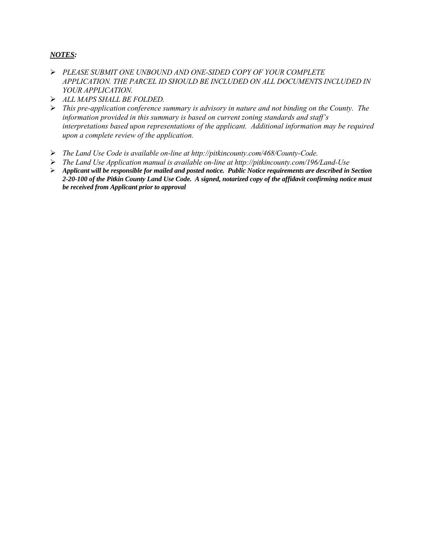# *NOTES:*

- *PLEASE SUBMIT ONE UNBOUND AND ONE-SIDED COPY OF YOUR COMPLETE APPLICATION. THE PARCEL ID SHOULD BE INCLUDED ON ALL DOCUMENTS INCLUDED IN YOUR APPLICATION.*
- *ALL MAPS SHALL BE FOLDED.*
- *This pre-application conference summary is advisory in nature and not binding on the County. The information provided in this summary is based on current zoning standards and staff's interpretations based upon representations of the applicant. Additional information may be required upon a complete review of the application.*
- *The Land Use Code is available on-line at http://pitkincounty.com/468/County-Code.*
- *The Land Use Application manual is available on-line at http://pitkincounty.com/196/Land-Use*
- *Applicant will be responsible for mailed and posted notice. Public Notice requirements are described in Section 2-20-100 of the Pitkin County Land Use Code. A signed, notarized copy of the affidavit confirming notice must be received from Applicant prior to approval*